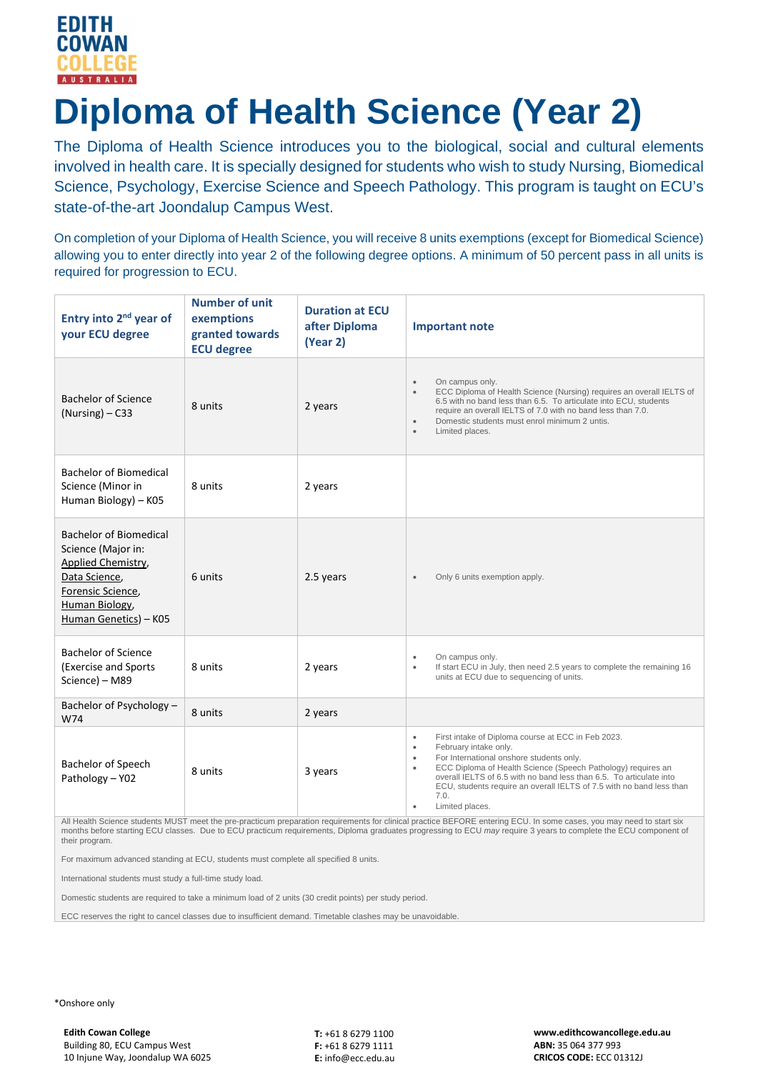

# **Diploma of Health Science (Year 2)**

The Diploma of Health Science introduces you to the biological, social and cultural elements involved in health care. It is specially designed for students who wish to study Nursing, Biomedical Science, Psychology, Exercise Science and Speech Pathology. This program is taught on ECU's state-of-the-art Joondalup Campus West.

On completion of your Diploma of Health Science, you will receive 8 units exemptions (except for Biomedical Science) allowing you to enter directly into year 2 of the following degree options. A minimum of 50 percent pass in all units is required for progression to ECU.

| Entry into 2 <sup>nd</sup> year of<br>your ECU degree                                                                                                            | <b>Number of unit</b><br>exemptions<br>granted towards<br><b>ECU degree</b> | <b>Duration at ECU</b><br>after Diploma<br>(Year 2) | <b>Important note</b>                                                                                                                                                                                                                                                                                                                                                                                                              |
|------------------------------------------------------------------------------------------------------------------------------------------------------------------|-----------------------------------------------------------------------------|-----------------------------------------------------|------------------------------------------------------------------------------------------------------------------------------------------------------------------------------------------------------------------------------------------------------------------------------------------------------------------------------------------------------------------------------------------------------------------------------------|
| <b>Bachelor of Science</b><br>$(Nursing) - C33$                                                                                                                  | 8 units                                                                     | 2 years                                             | On campus only.<br>$\bullet$<br>ECC Diploma of Health Science (Nursing) requires an overall IELTS of<br>$\bullet$<br>6.5 with no band less than 6.5. To articulate into ECU, students<br>require an overall IELTS of 7.0 with no band less than 7.0.<br>Domestic students must enrol minimum 2 untis.<br>$\bullet$<br>Limited places.<br>$\bullet$                                                                                 |
| <b>Bachelor of Biomedical</b><br>Science (Minor in<br>Human Biology) - K05                                                                                       | 8 units                                                                     | 2 years                                             |                                                                                                                                                                                                                                                                                                                                                                                                                                    |
| <b>Bachelor of Biomedical</b><br>Science (Major in:<br>Applied Chemistry,<br>Data Science,<br>Forensic Science,<br><b>Human Biology</b><br>Human Genetics) - K05 | 6 units                                                                     | 2.5 years                                           | Only 6 units exemption apply.<br>$\bullet$                                                                                                                                                                                                                                                                                                                                                                                         |
| <b>Bachelor of Science</b><br>(Exercise and Sports<br>Science) - M89                                                                                             | 8 units                                                                     | 2 years                                             | On campus only.<br>$\bullet$<br>If start ECU in July, then need 2.5 years to complete the remaining 16<br>$\bullet$<br>units at ECU due to sequencing of units.                                                                                                                                                                                                                                                                    |
| Bachelor of Psychology -<br>W74                                                                                                                                  | 8 units                                                                     | 2 years                                             |                                                                                                                                                                                                                                                                                                                                                                                                                                    |
| Bachelor of Speech<br>Pathology - Y02                                                                                                                            | 8 units                                                                     | 3 years                                             | First intake of Diploma course at ECC in Feb 2023.<br>$\bullet$<br>February intake only.<br>$\bullet$<br>For International onshore students only.<br>$\bullet$<br>ECC Diploma of Health Science (Speech Pathology) requires an<br>$\bullet$<br>overall IELTS of 6.5 with no band less than 6.5. To articulate into<br>ECU, students require an overall IELTS of 7.5 with no band less than<br>7.0.<br>Limited places.<br>$\bullet$ |

All Health Science students MUST meet the pre-practicum preparation requirements for clinical practice BEFORE entering ECU. In some cases, you may need to start six months before starting ECU classes. Due to ECU practicum requirements, Diploma graduates progressing to ECU *may* require 3 years to complete the ECU component of their program.

For maximum advanced standing at ECU, students must complete all specified 8 units.

International students must study a full-time study load.

Domestic students are required to take a minimum load of 2 units (30 credit points) per study period.

ECC reserves the right to cancel classes due to insufficient demand. Timetable clashes may be unavoidable.

\*Onshore only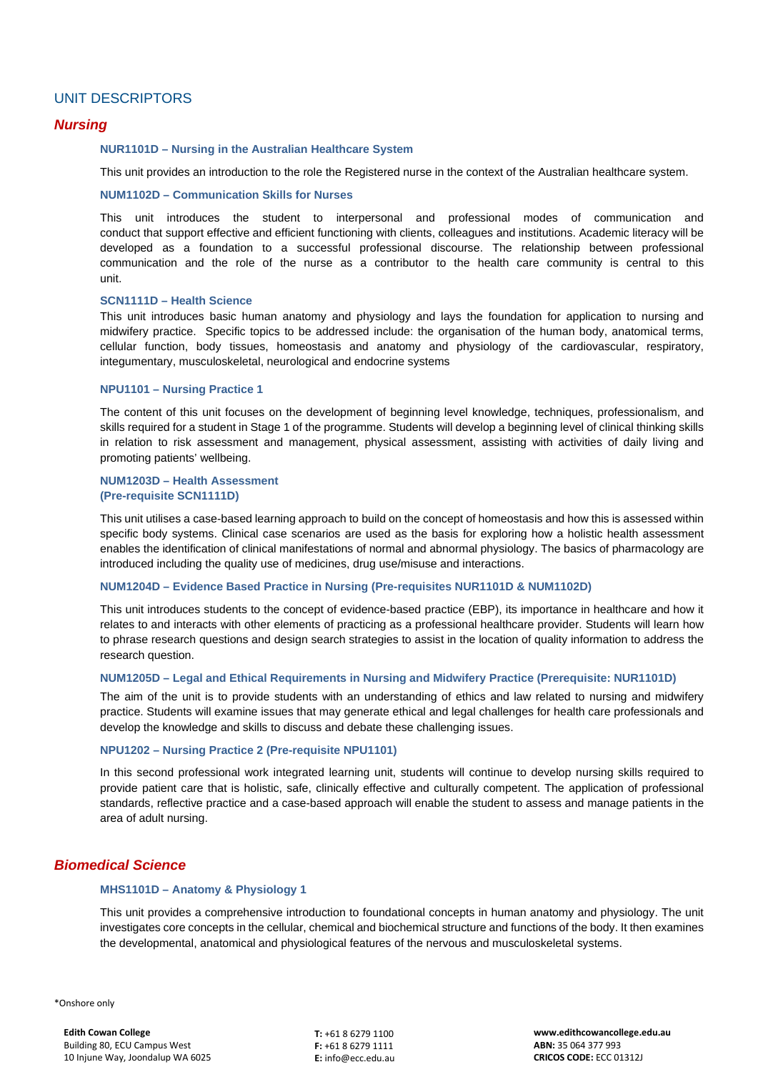# UNIT DESCRIPTORS

# *Nursing*

### **NUR1101D – Nursing in the Australian Healthcare System**

This unit provides an introduction to the role the Registered nurse in the context of the Australian healthcare system.

## **NUM1102D – Communication Skills for Nurses**

This unit introduces the student to interpersonal and professional modes of communication and conduct that support effective and efficient functioning with clients, colleagues and institutions. Academic literacy will be developed as a foundation to a successful professional discourse. The relationship between professional communication and the role of the nurse as a contributor to the health care community is central to this unit.

#### **SCN1111D – Health Science**

This unit introduces basic human anatomy and physiology and lays the foundation for application to nursing and midwifery practice. Specific topics to be addressed include: the organisation of the human body, anatomical terms, cellular function, body tissues, homeostasis and anatomy and physiology of the cardiovascular, respiratory, integumentary, musculoskeletal, neurological and endocrine systems

#### **NPU1101 – Nursing Practice 1**

The content of this unit focuses on the development of beginning level knowledge, techniques, professionalism, and skills required for a student in Stage 1 of the programme. Students will develop a beginning level of clinical thinking skills in relation to risk assessment and management, physical assessment, assisting with activities of daily living and promoting patients' wellbeing.

## **NUM1203D – Health Assessment (Pre-requisite SCN1111D)**

This unit utilises a case-based learning approach to build on the concept of homeostasis and how this is assessed within specific body systems. Clinical case scenarios are used as the basis for exploring how a holistic health assessment enables the identification of clinical manifestations of normal and abnormal physiology. The basics of pharmacology are introduced including the quality use of medicines, drug use/misuse and interactions.

#### **NUM1204D – Evidence Based Practice in Nursing (Pre-requisites NUR1101D & NUM1102D)**

This unit introduces students to the concept of evidence-based practice (EBP), its importance in healthcare and how it relates to and interacts with other elements of practicing as a professional healthcare provider. Students will learn how to phrase research questions and design search strategies to assist in the location of quality information to address the research question.

#### **NUM1205D – Legal and Ethical Requirements in Nursing and Midwifery Practice (Prerequisite: NUR1101D)**

The aim of the unit is to provide students with an understanding of ethics and law related to nursing and midwifery practice. Students will examine issues that may generate ethical and legal challenges for health care professionals and develop the knowledge and skills to discuss and debate these challenging issues.

### **NPU1202 – Nursing Practice 2 (Pre-requisite NPU1101)**

In this second professional work integrated learning unit, students will continue to develop nursing skills required to provide patient care that is holistic, safe, clinically effective and culturally competent. The application of professional standards, reflective practice and a case-based approach will enable the student to assess and manage patients in the area of adult nursing.

# *Biomedical Science*

#### **MHS1101D – Anatomy & Physiology 1**

This unit provides a comprehensive introduction to foundational concepts in human anatomy and physiology. The unit investigates core concepts in the cellular, chemical and biochemical structure and functions of the body. It then examines the developmental, anatomical and physiological features of the nervous and musculoskeletal systems.

\*Onshore only

**T:** +61 8 6279 1100 **F:** +61 8 6279 1111 **E:** info@ecc.edu.au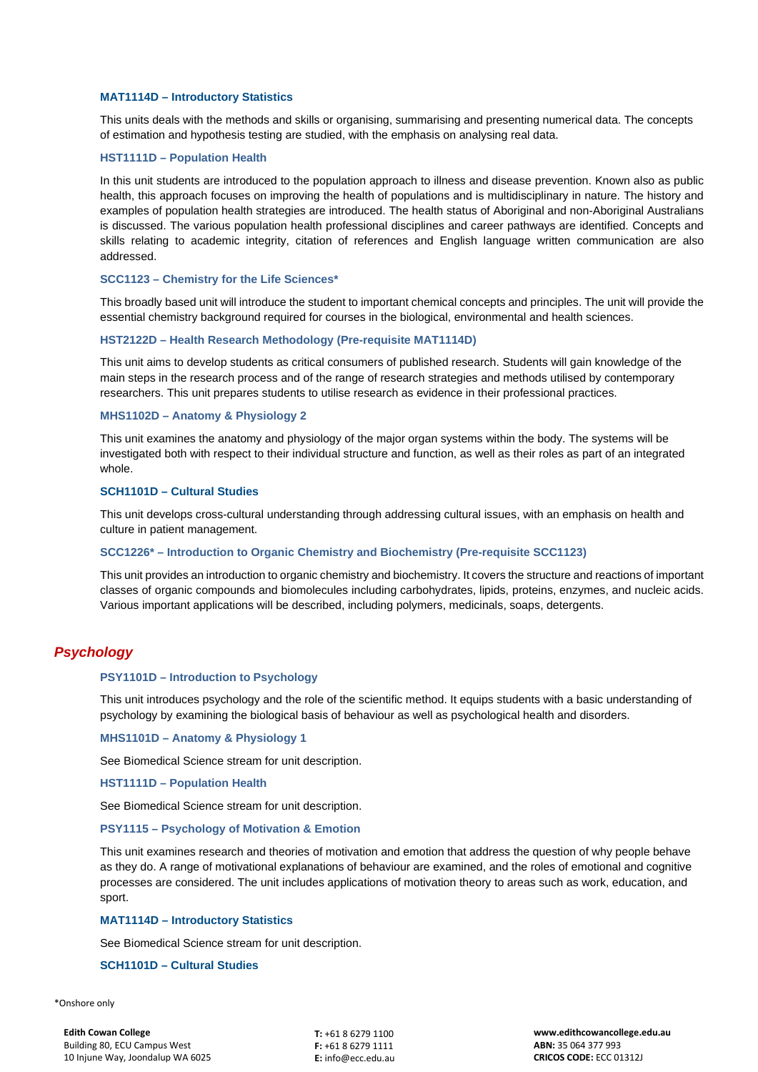### **MAT1114D – Introductory Statistics**

This units deals with the methods and skills or organising, summarising and presenting numerical data. The concepts of estimation and hypothesis testing are studied, with the emphasis on analysing real data.

## **HST1111D – Population Health**

In this unit students are introduced to the population approach to illness and disease prevention. Known also as public health, this approach focuses on improving the health of populations and is multidisciplinary in nature. The history and examples of population health strategies are introduced. The health status of Aboriginal and non-Aboriginal Australians is discussed. The various population health professional disciplines and career pathways are identified. Concepts and skills relating to academic integrity, citation of references and English language written communication are also addressed.

#### **SCC1123 – Chemistry for the Life Sciences\***

This broadly based unit will introduce the student to important chemical concepts and principles. The unit will provide the essential chemistry background required for courses in the biological, environmental and health sciences.

#### **HST2122D – Health Research Methodology (Pre-requisite MAT1114D)**

This unit aims to develop students as critical consumers of published research. Students will gain knowledge of the main steps in the research process and of the range of research strategies and methods utilised by contemporary researchers. This unit prepares students to utilise research as evidence in their professional practices.

## **MHS1102D – Anatomy & Physiology 2**

This unit examines the anatomy and physiology of the major organ systems within the body. The systems will be investigated both with respect to their individual structure and function, as well as their roles as part of an integrated whole.

## **SCH1101D – Cultural Studies**

This unit develops cross-cultural understanding through addressing cultural issues, with an emphasis on health and culture in patient management.

## **SCC1226\* – Introduction to Organic Chemistry and Biochemistry (Pre-requisite SCC1123)**

This unit provides an introduction to organic chemistry and biochemistry. It covers the structure and reactions of important classes of organic compounds and biomolecules including carbohydrates, lipids, proteins, enzymes, and nucleic acids. Various important applications will be described, including polymers, medicinals, soaps, detergents.

# *Psychology*

#### **PSY1101D – Introduction to Psychology**

This unit introduces psychology and the role of the scientific method. It equips students with a basic understanding of psychology by examining the biological basis of behaviour as well as psychological health and disorders.

#### **MHS1101D – Anatomy & Physiology 1**

See Biomedical Science stream for unit description.

**HST1111D – Population Health**

See Biomedical Science stream for unit description.

#### **PSY1115 – Psychology of Motivation & Emotion**

This unit examines research and theories of motivation and emotion that address the question of why people behave as they do. A range of motivational explanations of behaviour are examined, and the roles of emotional and cognitive processes are considered. The unit includes applications of motivation theory to areas such as work, education, and sport.

#### **MAT1114D – Introductory Statistics**

See Biomedical Science stream for unit description.

## **SCH1101D – Cultural Studies**

\*Onshore only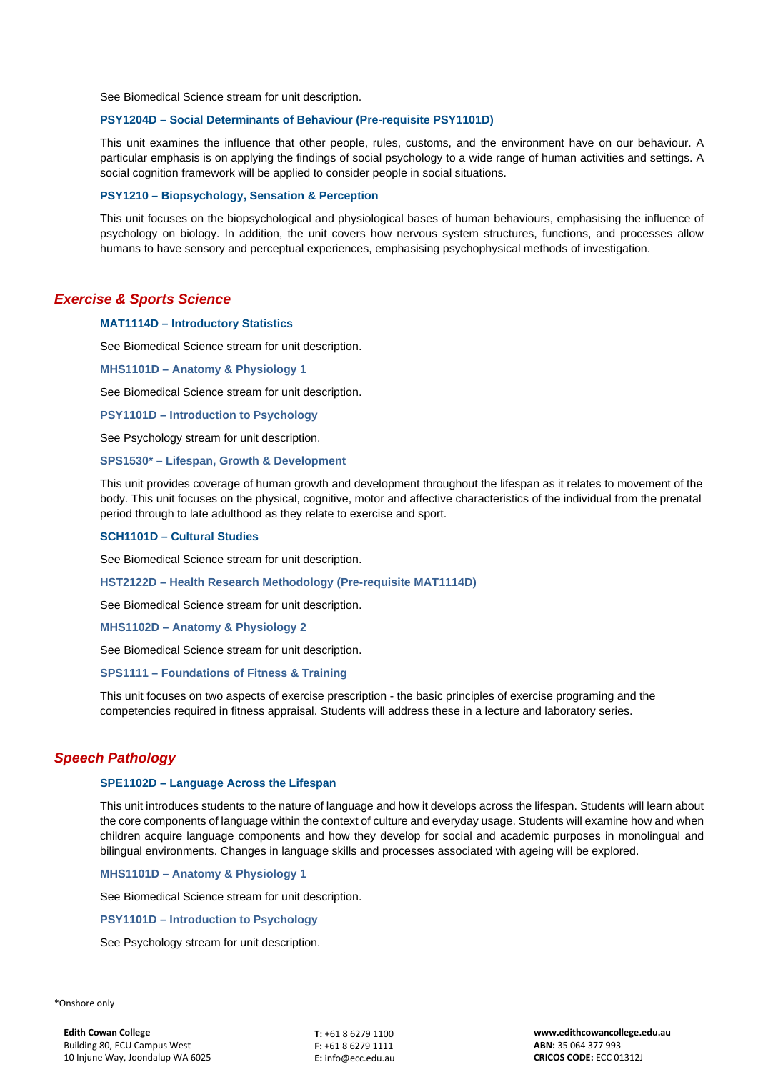See Biomedical Science stream for unit description.

## **PSY1204D – Social Determinants of Behaviour (Pre-requisite PSY1101D)**

This unit examines the influence that other people, rules, customs, and the environment have on our behaviour. A particular emphasis is on applying the findings of social psychology to a wide range of human activities and settings. A social cognition framework will be applied to consider people in social situations.

#### **PSY1210 – Biopsychology, Sensation & Perception**

This unit focuses on the biopsychological and physiological bases of human behaviours, emphasising the influence of psychology on biology. In addition, the unit covers how nervous system structures, functions, and processes allow humans to have sensory and perceptual experiences, emphasising psychophysical methods of investigation.

# *Exercise & Sports Science*

#### **MAT1114D – Introductory Statistics**

See Biomedical Science stream for unit description.

**MHS1101D – Anatomy & Physiology 1**

See Biomedical Science stream for unit description.

**PSY1101D – Introduction to Psychology**

See Psychology stream for unit description.

#### **SPS1530\* – Lifespan, Growth & Development**

This unit provides coverage of human growth and development throughout the lifespan as it relates to movement of the body. This unit focuses on the physical, cognitive, motor and affective characteristics of the individual from the prenatal period through to late adulthood as they relate to exercise and sport.

#### **SCH1101D – Cultural Studies**

See Biomedical Science stream for unit description.

#### **HST2122D – Health Research Methodology (Pre-requisite MAT1114D)**

See Biomedical Science stream for unit description.

#### **MHS1102D – Anatomy & Physiology 2**

See Biomedical Science stream for unit description.

### **SPS1111 – Foundations of Fitness & Training**

This unit focuses on two aspects of exercise prescription - the basic principles of exercise programing and the competencies required in fitness appraisal. Students will address these in a lecture and laboratory series.

# *Speech Pathology*

### **SPE1102D – Language Across the Lifespan**

This unit introduces students to the nature of language and how it develops across the lifespan. Students will learn about the core components of language within the context of culture and everyday usage. Students will examine how and when children acquire language components and how they develop for social and academic purposes in monolingual and bilingual environments. Changes in language skills and processes associated with ageing will be explored.

**MHS1101D – Anatomy & Physiology 1**

See Biomedical Science stream for unit description.

### **PSY1101D – Introduction to Psychology**

See Psychology stream for unit description.

\*Onshore only